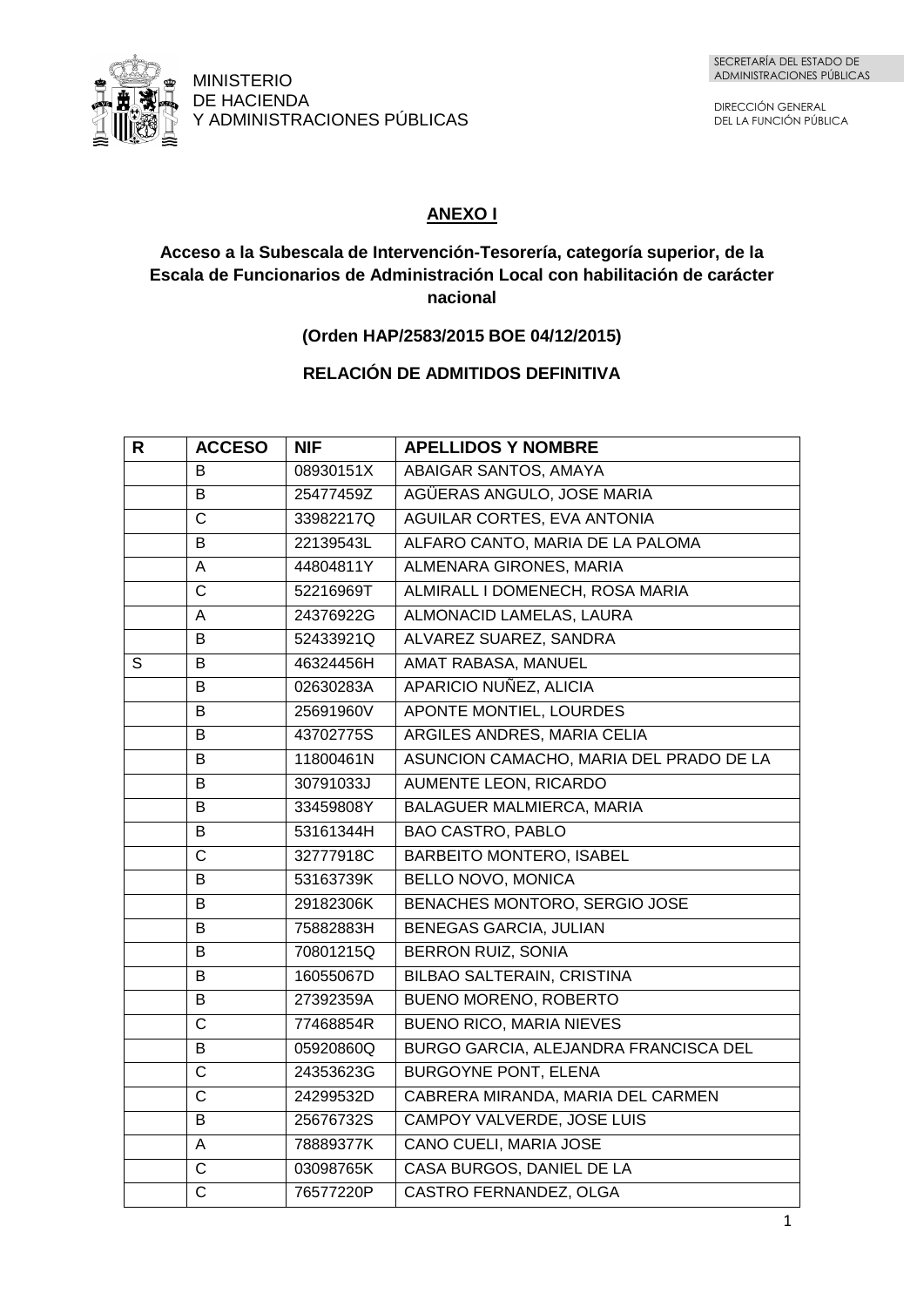

DIRECCIÓN GENERAL DEL LA FUNCIÓN PÚBLICA

# **ANEXO I**

## **Acceso a la Subescala de Intervención-Tesorería, categoría superior, de la Escala de Funcionarios de Administración Local con habilitación de carácter nacional**

### **(Orden HAP/2583/2015 BOE 04/12/2015)**

# **RELACIÓN DE ADMITIDOS DEFINITIVA**

| R | <b>ACCESO</b>  | <b>NIF</b> | <b>APELLIDOS Y NOMBRE</b>               |
|---|----------------|------------|-----------------------------------------|
|   | B              | 08930151X  | ABAIGAR SANTOS, AMAYA                   |
|   | B              | 25477459Z  | AGÜERAS ANGULO, JOSE MARIA              |
|   | $\mathsf C$    | 33982217Q  | AGUILAR CORTES, EVA ANTONIA             |
|   | B              | 22139543L  | ALFARO CANTO, MARIA DE LA PALOMA        |
|   | A              | 44804811Y  | ALMENARA GIRONES, MARIA                 |
|   | $\mathsf{C}$   | 52216969T  | ALMIRALL I DOMENECH, ROSA MARIA         |
|   | A              | 24376922G  | ALMONACID LAMELAS, LAURA                |
|   | B              | 52433921Q  | ALVAREZ SUAREZ, SANDRA                  |
| S | B              | 46324456H  | AMAT RABASA, MANUEL                     |
|   | B              | 02630283A  | APARICIO NUÑEZ, ALICIA                  |
|   | B              | 25691960V  | APONTE MONTIEL, LOURDES                 |
|   | B              | 43702775S  | ARGILES ANDRES, MARIA CELIA             |
|   | B              | 11800461N  | ASUNCION CAMACHO, MARIA DEL PRADO DE LA |
|   | B              | 30791033J  | <b>AUMENTE LEON, RICARDO</b>            |
|   | B              | 33459808Y  | <b>BALAGUER MALMIERCA, MARIA</b>        |
|   | B              | 53161344H  | <b>BAO CASTRO, PABLO</b>                |
|   | $\mathsf{C}$   | 32777918C  | <b>BARBEITO MONTERO, ISABEL</b>         |
|   | B              | 53163739K  | BELLO NOVO, MONICA                      |
|   | B              | 29182306K  | <b>BENACHES MONTORO, SERGIO JOSE</b>    |
|   | B              | 75882883H  | <b>BENEGAS GARCIA, JULIAN</b>           |
|   | B              | 70801215Q  | <b>BERRON RUIZ, SONIA</b>               |
|   | B              | 16055067D  | <b>BILBAO SALTERAIN, CRISTINA</b>       |
|   | B              | 27392359A  | <b>BUENO MORENO, ROBERTO</b>            |
|   | $\overline{C}$ | 77468854R  | <b>BUENO RICO, MARIA NIEVES</b>         |
|   | B              | 05920860Q  | BURGO GARCIA, ALEJANDRA FRANCISCA DEL   |
|   | $\overline{C}$ | 24353623G  | <b>BURGOYNE PONT, ELENA</b>             |
|   | $\overline{C}$ | 24299532D  | CABRERA MIRANDA, MARIA DEL CARMEN       |
|   | B              | 25676732S  | <b>CAMPOY VALVERDE, JOSE LUIS</b>       |
|   | A              | 78889377K  | CANO CUELI, MARIA JOSE                  |
|   | $\overline{C}$ | 03098765K  | CASA BURGOS, DANIEL DE LA               |
|   | $\mathsf{C}$   | 76577220P  | CASTRO FERNANDEZ, OLGA                  |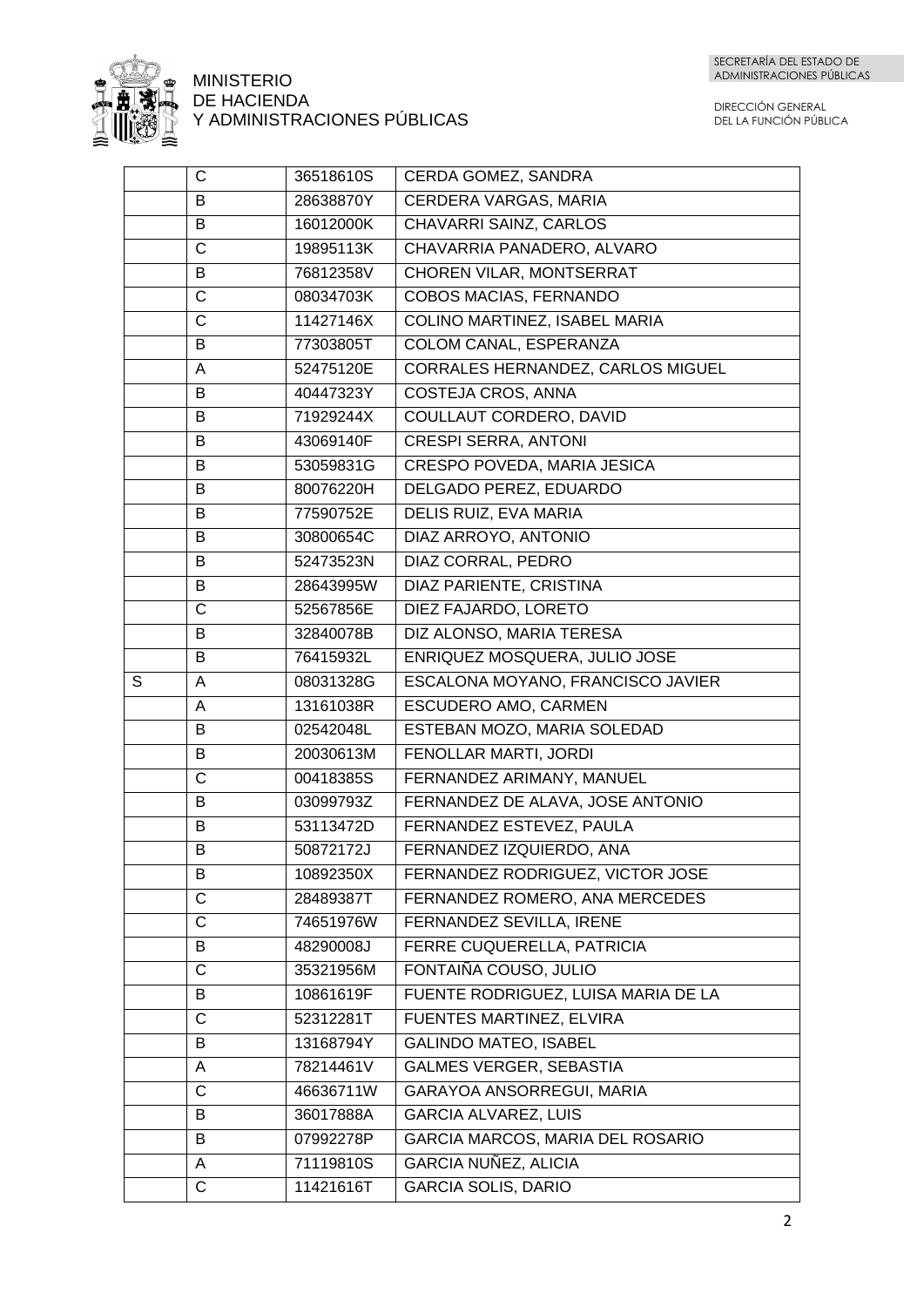

|   | C            | 36518610S | CERDA GOMEZ, SANDRA                 |
|---|--------------|-----------|-------------------------------------|
|   | B            | 28638870Y | <b>CERDERA VARGAS, MARIA</b>        |
|   | B            | 16012000K | CHAVARRI SAINZ, CARLOS              |
|   | $\mathsf{C}$ | 19895113K | CHAVARRIA PANADERO, ALVARO          |
|   | B            | 76812358V | CHOREN VILAR, MONTSERRAT            |
|   | $\mathsf{C}$ | 08034703K | <b>COBOS MACIAS, FERNANDO</b>       |
|   | $\mathsf{C}$ | 11427146X | COLINO MARTINEZ, ISABEL MARIA       |
|   | B            | 77303805T | COLOM CANAL, ESPERANZA              |
|   | A            | 52475120E | CORRALES HERNANDEZ, CARLOS MIGUEL   |
|   | B            | 40447323Y | COSTEJA CROS, ANNA                  |
|   | B            | 71929244X | COULLAUT CORDERO, DAVID             |
|   | B            | 43069140F | <b>CRESPI SERRA, ANTONI</b>         |
|   | B            | 53059831G | CRESPO POVEDA, MARIA JESICA         |
|   | B            | 80076220H | DELGADO PEREZ, EDUARDO              |
|   | B            | 77590752E | DELIS RUIZ, EVA MARIA               |
|   | B            | 30800654C | DIAZ ARROYO, ANTONIO                |
|   | B            | 52473523N | DIAZ CORRAL, PEDRO                  |
|   | B            | 28643995W | DIAZ PARIENTE, CRISTINA             |
|   | $\mathsf{C}$ | 52567856E | DIEZ FAJARDO, LORETO                |
|   | B            | 32840078B | DIZ ALONSO, MARIA TERESA            |
|   | B            | 76415932L | ENRIQUEZ MOSQUERA, JULIO JOSE       |
| S | A            | 08031328G | ESCALONA MOYANO, FRANCISCO JAVIER   |
|   | A            | 13161038R | <b>ESCUDERO AMO, CARMEN</b>         |
|   | B            | 02542048L | ESTEBAN MOZO, MARIA SOLEDAD         |
|   | B            | 20030613M | FENOLLAR MARTI, JORDI               |
|   | $\mathsf{C}$ | 00418385S | FERNANDEZ ARIMANY, MANUEL           |
|   | B            | 03099793Z | FERNANDEZ DE ALAVA, JOSE ANTONIO    |
|   | B            | 53113472D | FERNANDEZ ESTEVEZ, PAULA            |
|   | B            | 50872172J | FERNANDEZ IZQUIERDO, ANA            |
|   | B            | 10892350X | FERNANDEZ RODRIGUEZ, VICTOR JOSE    |
|   | C            | 28489387T | FERNANDEZ ROMERO, ANA MERCEDES      |
|   | C            | 74651976W | FERNANDEZ SEVILLA, IRENE            |
|   | B            | 48290008J | FERRE CUQUERELLA, PATRICIA          |
|   | C            | 35321956M | FONTAIÑA COUSO, JULIO               |
|   | B            | 10861619F | FUENTE RODRIGUEZ, LUISA MARIA DE LA |
|   | C            | 52312281T | FUENTES MARTINEZ, ELVIRA            |
|   | B            | 13168794Y | <b>GALINDO MATEO, ISABEL</b>        |
|   | A            | 78214461V | <b>GALMES VERGER, SEBASTIA</b>      |
|   | C            | 46636711W | GARAYOA ANSORREGUI, MARIA           |
|   | B            | 36017888A | <b>GARCIA ALVAREZ, LUIS</b>         |
|   | B            | 07992278P | GARCIA MARCOS, MARIA DEL ROSARIO    |
|   | A            | 71119810S | GARCIA NUÑEZ, ALICIA                |
|   | C            | 11421616T | <b>GARCIA SOLIS, DARIO</b>          |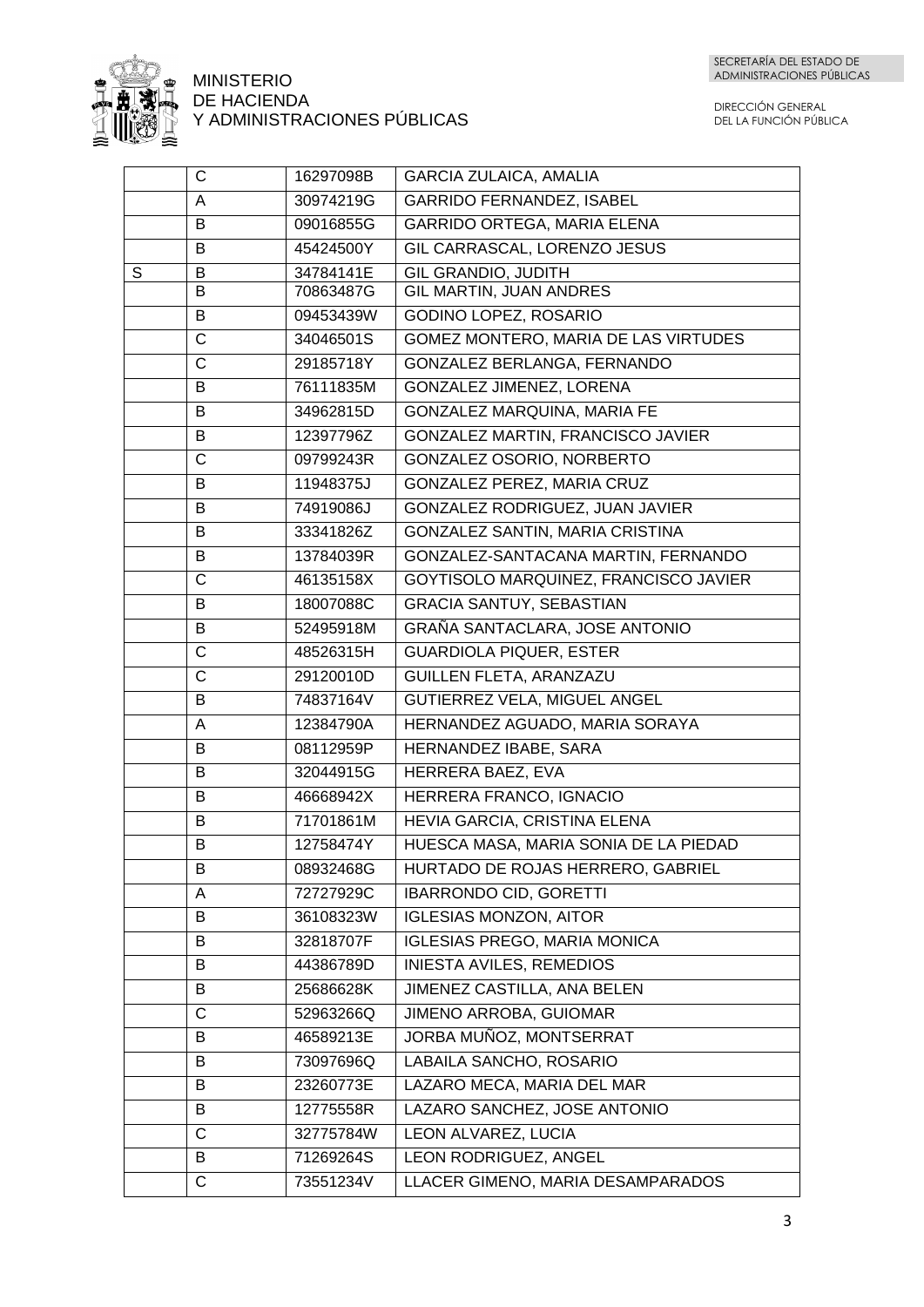

|   | $\mathsf{C}$ | 16297098B | <b>GARCIA ZULAICA, AMALIA</b>          |
|---|--------------|-----------|----------------------------------------|
|   | A            | 30974219G | <b>GARRIDO FERNANDEZ, ISABEL</b>       |
|   | B            | 09016855G | <b>GARRIDO ORTEGA, MARIA ELENA</b>     |
|   | B            | 45424500Y | GIL CARRASCAL, LORENZO JESUS           |
| S | B            | 34784141E | GIL GRANDIO, JUDITH                    |
|   | B            | 70863487G | GIL MARTIN, JUAN ANDRES                |
|   | B            | 09453439W | GODINO LOPEZ, ROSARIO                  |
|   | $\mathsf{C}$ | 34046501S | GOMEZ MONTERO, MARIA DE LAS VIRTUDES   |
|   | $\mathsf{C}$ | 29185718Y | <b>GONZALEZ BERLANGA, FERNANDO</b>     |
|   | B            | 76111835M | <b>GONZALEZ JIMENEZ, LORENA</b>        |
|   | B            | 34962815D | GONZALEZ MARQUINA, MARIA FE            |
|   | B            | 12397796Z | GONZALEZ MARTIN, FRANCISCO JAVIER      |
|   | C            | 09799243R | GONZALEZ OSORIO, NORBERTO              |
|   | B            | 11948375J | GONZALEZ PEREZ, MARIA CRUZ             |
|   | B            | 74919086J | <b>GONZALEZ RODRIGUEZ, JUAN JAVIER</b> |
|   | B            | 33341826Z | GONZALEZ SANTIN, MARIA CRISTINA        |
|   | B            | 13784039R | GONZALEZ-SANTACANA MARTIN, FERNANDO    |
|   | $\mathsf{C}$ | 46135158X | GOYTISOLO MARQUINEZ, FRANCISCO JAVIER  |
|   | B            | 18007088C | <b>GRACIA SANTUY, SEBASTIAN</b>        |
|   | B            | 52495918M | <b>GRAÑA SANTACLARA, JOSE ANTONIO</b>  |
|   | $\mathsf{C}$ | 48526315H | <b>GUARDIOLA PIQUER, ESTER</b>         |
|   | $\mathsf{C}$ | 29120010D | GUILLEN FLETA, ARANZAZU                |
|   | B            | 74837164V | GUTIERREZ VELA, MIGUEL ANGEL           |
|   | A            | 12384790A | HERNANDEZ AGUADO, MARIA SORAYA         |
|   | B            | 08112959P | HERNANDEZ IBABE, SARA                  |
|   | B            | 32044915G | HERRERA BAEZ, EVA                      |
|   | B            | 46668942X | HERRERA FRANCO, IGNACIO                |
|   | B            | 71701861M | HEVIA GARCIA, CRISTINA ELENA           |
|   | B            | 12758474Y | HUESCA MASA, MARIA SONIA DE LA PIEDAD  |
|   | B            | 08932468G | HURTADO DE ROJAS HERRERO, GABRIEL      |
|   | A            | 72727929C | <b>IBARRONDO CID, GORETTI</b>          |
|   | B            | 36108323W | <b>IGLESIAS MONZON, AITOR</b>          |
|   | B            | 32818707F | <b>IGLESIAS PREGO, MARIA MONICA</b>    |
|   | B            | 44386789D | <b>INIESTA AVILES, REMEDIOS</b>        |
|   | B            | 25686628K | JIMENEZ CASTILLA, ANA BELEN            |
|   | $\mathsf{C}$ | 52963266Q | JIMENO ARROBA, GUIOMAR                 |
|   | B            | 46589213E | JORBA MUÑOZ, MONTSERRAT                |
|   | B            | 73097696Q | LABAILA SANCHO, ROSARIO                |
|   | B            | 23260773E | LAZARO MECA, MARIA DEL MAR             |
|   | B            | 12775558R | LAZARO SANCHEZ, JOSE ANTONIO           |
|   | $\mathsf C$  | 32775784W | LEON ALVAREZ, LUCIA                    |
|   | B            | 71269264S | LEON RODRIGUEZ, ANGEL                  |
|   | C            | 73551234V | LLACER GIMENO, MARIA DESAMPARADOS      |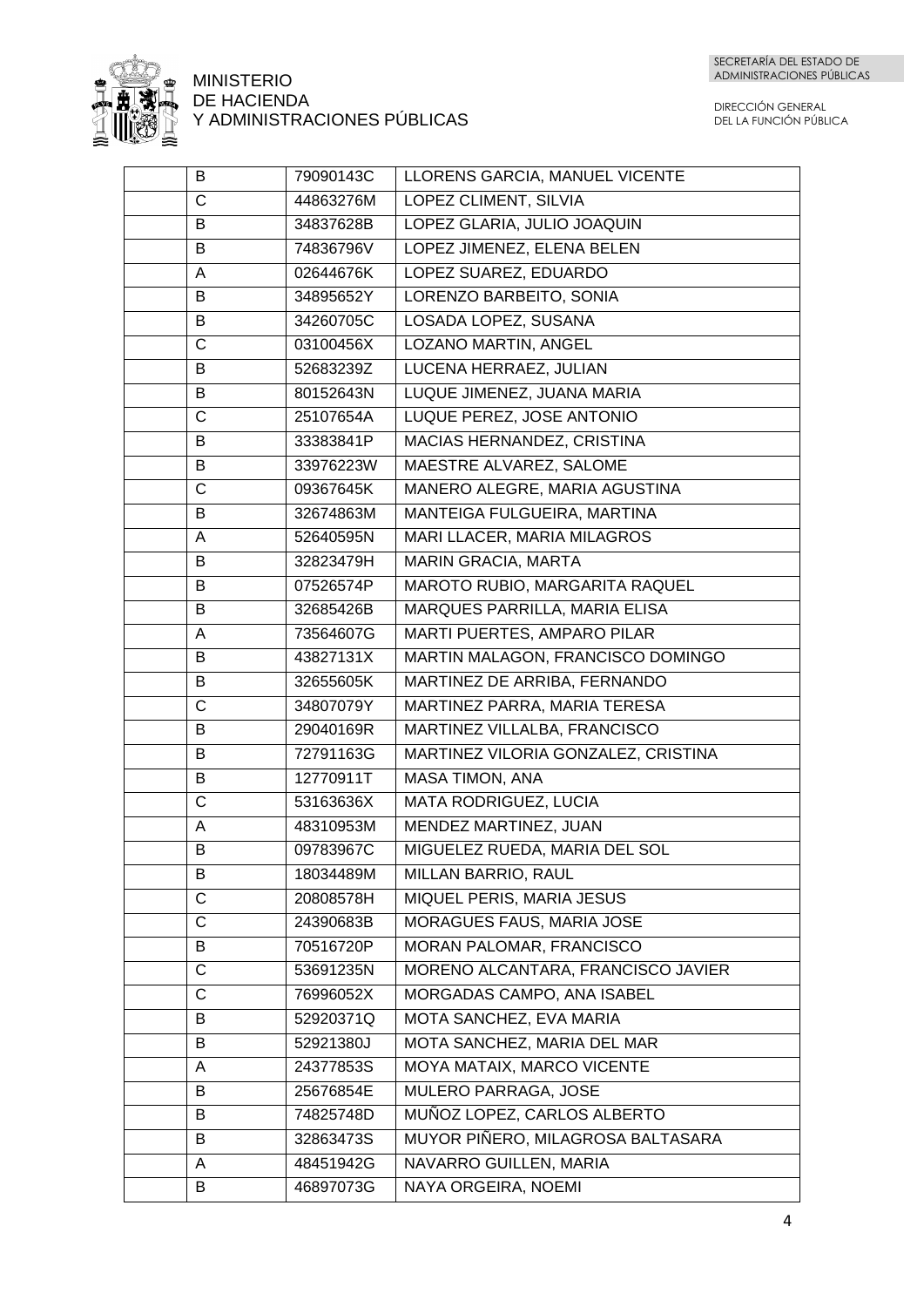

| B                     | 79090143C | LLORENS GARCIA, MANUEL VICENTE      |
|-----------------------|-----------|-------------------------------------|
| $\overline{C}$        | 44863276M | LOPEZ CLIMENT, SILVIA               |
| B                     | 34837628B | LOPEZ GLARIA, JULIO JOAQUIN         |
| B                     | 74836796V | LOPEZ JIMENEZ, ELENA BELEN          |
| A                     | 02644676K | LOPEZ SUAREZ, EDUARDO               |
| B                     | 34895652Y | LORENZO BARBEITO, SONIA             |
| B                     | 34260705C | LOSADA LOPEZ, SUSANA                |
| $\mathsf C$           | 03100456X | LOZANO MARTIN, ANGEL                |
| B                     | 52683239Z | LUCENA HERRAEZ, JULIAN              |
| B                     | 80152643N | LUQUE JIMENEZ, JUANA MARIA          |
| $\mathsf{C}$          | 25107654A | LUQUE PEREZ, JOSE ANTONIO           |
| B                     | 33383841P | MACIAS HERNANDEZ, CRISTINA          |
| B                     | 33976223W | MAESTRE ALVAREZ, SALOME             |
| $\overline{\text{c}}$ | 09367645K | MANERO ALEGRE, MARIA AGUSTINA       |
| B                     | 32674863M | MANTEIGA FULGUEIRA, MARTINA         |
| A                     | 52640595N | MARI LLACER, MARIA MILAGROS         |
| B                     | 32823479H | <b>MARIN GRACIA, MARTA</b>          |
| B                     | 07526574P | MAROTO RUBIO, MARGARITA RAQUEL      |
| B                     | 32685426B | MARQUES PARRILLA, MARIA ELISA       |
| A                     | 73564607G | MARTI PUERTES, AMPARO PILAR         |
| B                     | 43827131X | MARTIN MALAGON, FRANCISCO DOMINGO   |
| B                     | 32655605K | MARTINEZ DE ARRIBA, FERNANDO        |
| $\overline{C}$        | 34807079Y | MARTINEZ PARRA, MARIA TERESA        |
| B                     | 29040169R | MARTINEZ VILLALBA, FRANCISCO        |
| B                     | 72791163G | MARTINEZ VILORIA GONZALEZ, CRISTINA |
| B                     | 12770911T | <b>MASA TIMON, ANA</b>              |
| C                     | 53163636X | MATA RODRIGUEZ, LUCIA               |
| A                     | 48310953M | MENDEZ MARTINEZ, JUAN               |
| B                     | 09783967C | MIGUELEZ RUEDA, MARIA DEL SOL       |
| B                     | 18034489M | MILLAN BARRIO, RAUL                 |
| C                     | 20808578H | MIQUEL PERIS, MARIA JESUS           |
| C                     | 24390683B | MORAGUES FAUS, MARIA JOSE           |
| B                     | 70516720P | MORAN PALOMAR, FRANCISCO            |
| C                     | 53691235N | MORENO ALCANTARA, FRANCISCO JAVIER  |
| $\mathsf{C}$          | 76996052X | MORGADAS CAMPO, ANA ISABEL          |
| B                     | 52920371Q | MOTA SANCHEZ, EVA MARIA             |
| B                     | 52921380J | MOTA SANCHEZ, MARIA DEL MAR         |
| A                     | 24377853S | MOYA MATAIX, MARCO VICENTE          |
| B                     | 25676854E | MULERO PARRAGA, JOSE                |
| B                     | 74825748D | MUÑOZ LOPEZ, CARLOS ALBERTO         |
| B                     | 32863473S | MUYOR PIÑERO, MILAGROSA BALTASARA   |
| A                     | 48451942G | NAVARRO GUILLEN, MARIA              |
| B                     | 46897073G | NAYA ORGEIRA, NOEMI                 |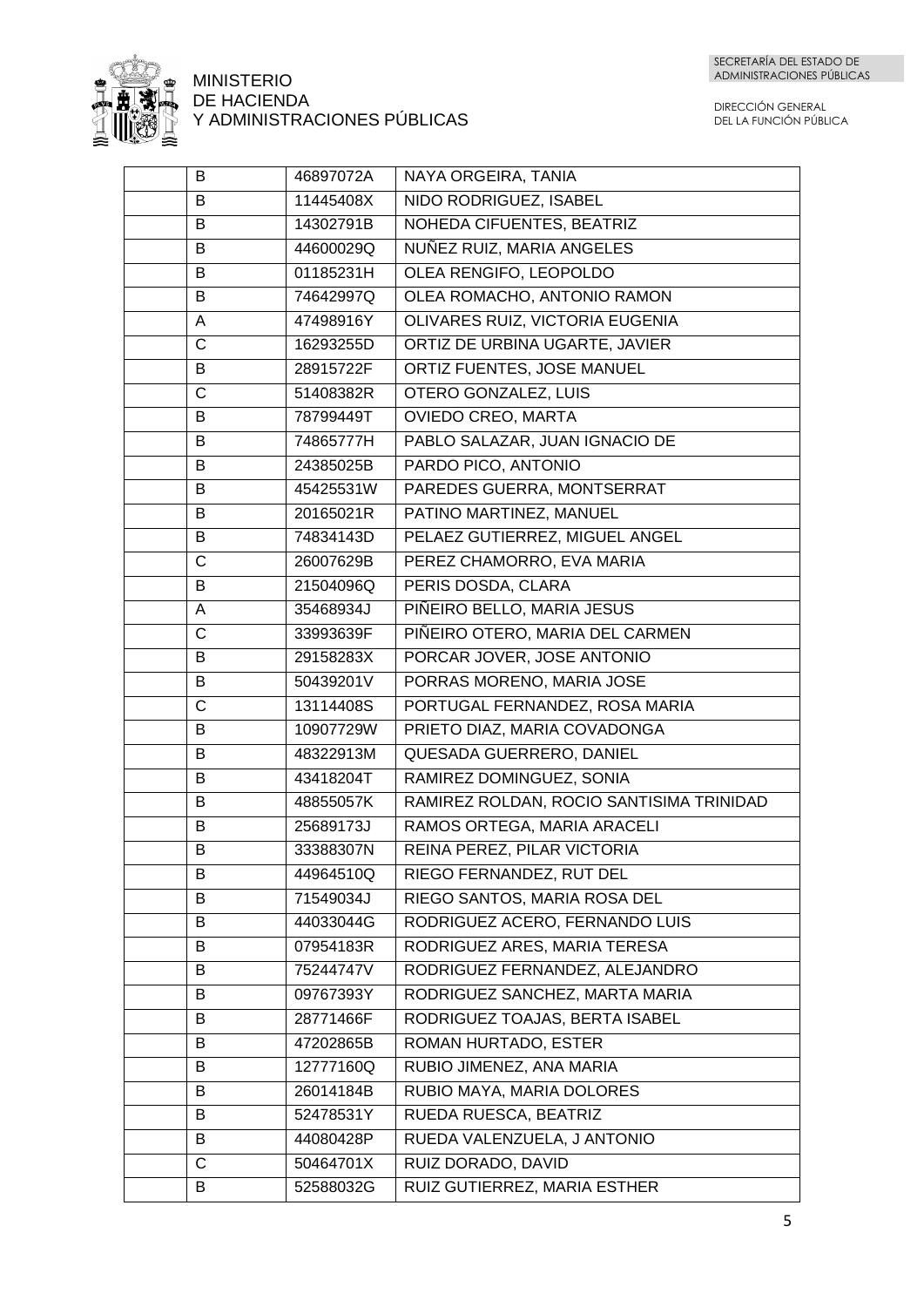

| B            | 46897072A | NAYA ORGEIRA, TANIA                      |
|--------------|-----------|------------------------------------------|
| B            | 11445408X | NIDO RODRIGUEZ, ISABEL                   |
| B            | 14302791B | NOHEDA CIFUENTES, BEATRIZ                |
| B            | 44600029Q | NUÑEZ RUIZ, MARIA ANGELES                |
| B            | 01185231H | OLEA RENGIFO, LEOPOLDO                   |
| B            | 74642997Q | OLEA ROMACHO, ANTONIO RAMON              |
| A            | 47498916Y | OLIVARES RUIZ, VICTORIA EUGENIA          |
| $\mathsf{C}$ | 16293255D | ORTIZ DE URBINA UGARTE, JAVIER           |
| B            | 28915722F | ORTIZ FUENTES, JOSE MANUEL               |
| $\mathsf C$  | 51408382R | OTERO GONZALEZ, LUIS                     |
| В            | 78799449T | OVIEDO CREO, MARTA                       |
| B            | 74865777H | PABLO SALAZAR, JUAN IGNACIO DE           |
| B            | 24385025B | PARDO PICO, ANTONIO                      |
| B            | 45425531W | PAREDES GUERRA, MONTSERRAT               |
| B            | 20165021R | PATINO MARTINEZ, MANUEL                  |
| B            | 74834143D | PELAEZ GUTIERREZ, MIGUEL ANGEL           |
| C            | 26007629B | PEREZ CHAMORRO, EVA MARIA                |
| B            | 21504096Q | PERIS DOSDA, CLARA                       |
| A            | 35468934J | PIÑEIRO BELLO, MARIA JESUS               |
| $\mathsf{C}$ | 33993639F | PIÑEIRO OTERO, MARIA DEL CARMEN          |
| B            | 29158283X | PORCAR JOVER, JOSE ANTONIO               |
| B            | 50439201V | PORRAS MORENO, MARIA JOSE                |
| C            | 13114408S | PORTUGAL FERNANDEZ, ROSA MARIA           |
| B            | 10907729W | PRIETO DIAZ, MARIA COVADONGA             |
| B            | 48322913M | QUESADA GUERRERO, DANIEL                 |
| B            | 43418204T | RAMIREZ DOMINGUEZ, SONIA                 |
| B            | 48855057K | RAMIREZ ROLDAN, ROCIO SANTISIMA TRINIDAD |
| B            | 25689173J | RAMOS ORTEGA, MARIA ARACELI              |
| В            | 33388307N | REINA PEREZ, PILAR VICTORIA              |
| B            | 44964510Q | RIEGO FERNANDEZ, RUT DEL                 |
| B            | 71549034J | RIEGO SANTOS, MARIA ROSA DEL             |
| B            | 44033044G | RODRIGUEZ ACERO, FERNANDO LUIS           |
| B            | 07954183R | RODRIGUEZ ARES, MARIA TERESA             |
| B            | 75244747V | RODRIGUEZ FERNANDEZ, ALEJANDRO           |
| B            | 09767393Y | RODRIGUEZ SANCHEZ, MARTA MARIA           |
| B            | 28771466F | RODRIGUEZ TOAJAS, BERTA ISABEL           |
| B            | 47202865B | ROMAN HURTADO, ESTER                     |
| B            | 12777160Q | RUBIO JIMENEZ, ANA MARIA                 |
| B            | 26014184B | RUBIO MAYA, MARIA DOLORES                |
| B            | 52478531Y | RUEDA RUESCA, BEATRIZ                    |
| В            | 44080428P | RUEDA VALENZUELA, J ANTONIO              |
| C            | 50464701X | RUIZ DORADO, DAVID                       |
| B            | 52588032G | RUIZ GUTIERREZ, MARIA ESTHER             |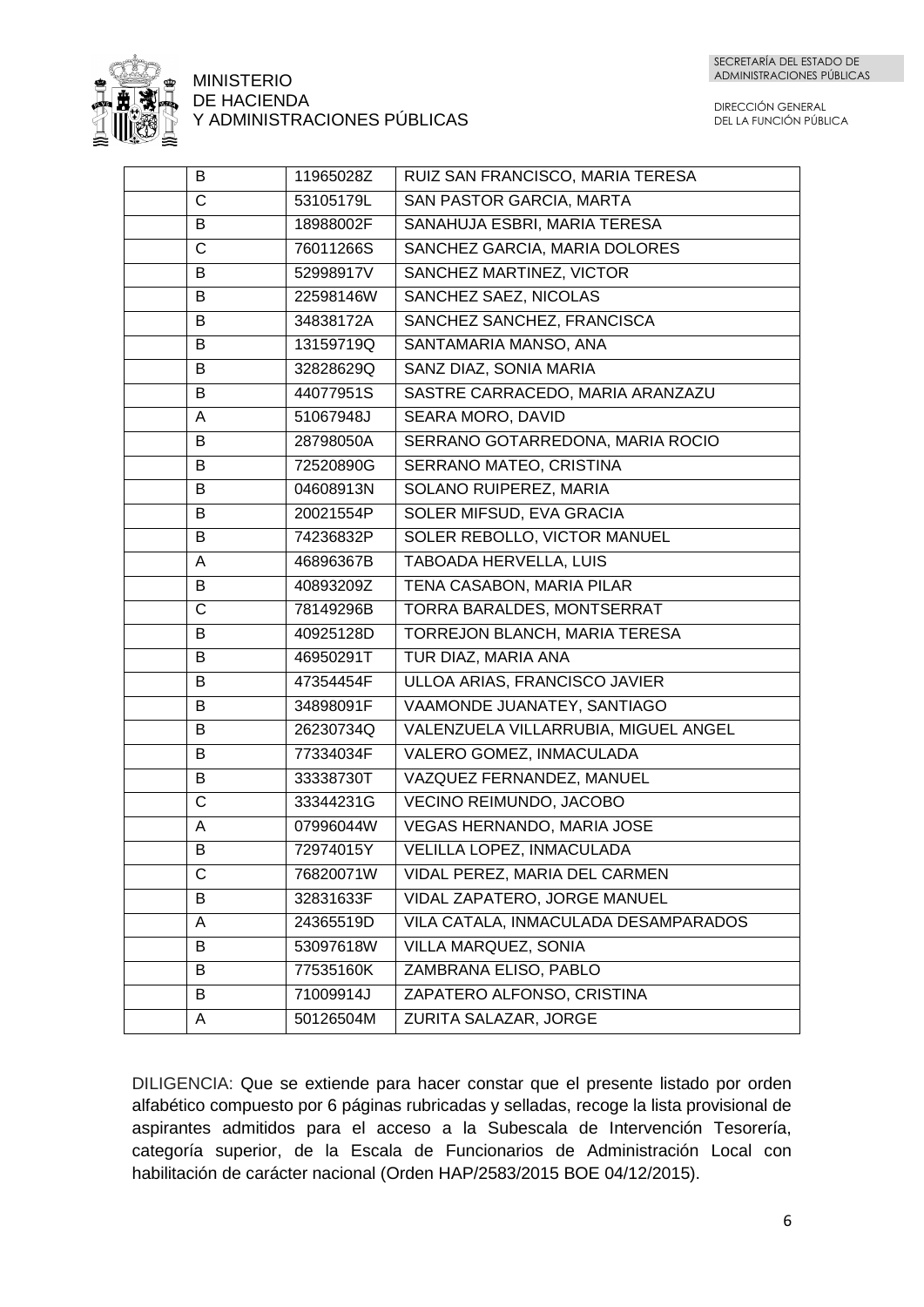

DIRECCIÓN GENERAL DEL LA FUNCIÓN PÚBLICA

| B | 11965028Z | RUIZ SAN FRANCISCO, MARIA TERESA     |
|---|-----------|--------------------------------------|
| C | 53105179L | SAN PASTOR GARCIA, MARTA             |
| B | 18988002F | SANAHUJA ESBRI, MARIA TERESA         |
| C | 76011266S | SANCHEZ GARCIA, MARIA DOLORES        |
| B | 52998917V | SANCHEZ MARTINEZ, VICTOR             |
| B | 22598146W | SANCHEZ SAEZ, NICOLAS                |
| B | 34838172A | SANCHEZ SANCHEZ, FRANCISCA           |
| B | 13159719Q | SANTAMARIA MANSO, ANA                |
| B | 32828629Q | SANZ DIAZ, SONIA MARIA               |
| B | 44077951S | SASTRE CARRACEDO, MARIA ARANZAZU     |
| Α | 51067948J | SEARA MORO, DAVID                    |
| B | 28798050A | SERRANO GOTARREDONA, MARIA ROCIO     |
| B | 72520890G | SERRANO MATEO, CRISTINA              |
| B | 04608913N | SOLANO RUIPEREZ, MARIA               |
| B | 20021554P | SOLER MIFSUD, EVA GRACIA             |
| B | 74236832P | SOLER REBOLLO, VICTOR MANUEL         |
| A | 46896367B | TABOADA HERVELLA, LUIS               |
| B | 40893209Z | TENA CASABON, MARIA PILAR            |
| C | 78149296B | TORRA BARALDES, MONTSERRAT           |
| B | 40925128D | TORREJON BLANCH, MARIA TERESA        |
| B | 46950291T | TUR DIAZ, MARIA ANA                  |
| B | 47354454F | ULLOA ARIAS, FRANCISCO JAVIER        |
| B | 34898091F | VAAMONDE JUANATEY, SANTIAGO          |
| B | 26230734Q | VALENZUELA VILLARRUBIA, MIGUEL ANGEL |
| B | 77334034F | VALERO GOMEZ, INMACULADA             |
| B | 33338730T | VAZQUEZ FERNANDEZ, MANUEL            |
| C | 33344231G | VECINO REIMUNDO, JACOBO              |
| A | 07996044W | <b>VEGAS HERNANDO, MARIA JOSE</b>    |
| B | 72974015Y | <b>VELILLA LOPEZ, INMACULADA</b>     |
| С | 76820071W | VIDAL PEREZ, MARIA DEL CARMEN        |
| B | 32831633F | VIDAL ZAPATERO, JORGE MANUEL         |
| A | 24365519D | VILA CATALA, INMACULADA DESAMPARADOS |
| B | 53097618W | VILLA MARQUEZ, SONIA                 |
| B | 77535160K | ZAMBRANA ELISO, PABLO                |
| B | 71009914J | ZAPATERO ALFONSO, CRISTINA           |
| A | 50126504M | ZURITA SALAZAR, JORGE                |

DILIGENCIA: Que se extiende para hacer constar que el presente listado por orden alfabético compuesto por 6 páginas rubricadas y selladas, recoge la lista provisional de aspirantes admitidos para el acceso a la Subescala de Intervención Tesorería, categoría superior, de la Escala de Funcionarios de Administración Local con habilitación de carácter nacional (Orden HAP/2583/2015 BOE 04/12/2015).